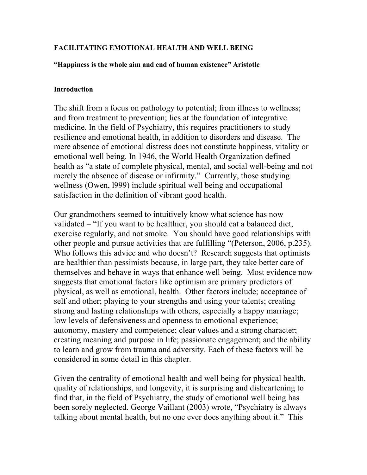# **FACILITATING EMOTIONAL HEALTH AND WELL BEING**

#### **"Happiness is the whole aim and end of human existence" Aristotle**

#### **Introduction**

The shift from a focus on pathology to potential; from illness to wellness; and from treatment to prevention; lies at the foundation of integrative medicine. In the field of Psychiatry, this requires practitioners to study resilience and emotional health, in addition to disorders and disease. The mere absence of emotional distress does not constitute happiness, vitality or emotional well being. In 1946, the World Health Organization defined health as "a state of complete physical, mental, and social well-being and not merely the absence of disease or infirmity." Currently, those studying wellness (Owen, l999) include spiritual well being and occupational satisfaction in the definition of vibrant good health.

Our grandmothers seemed to intuitively know what science has now validated – "If you want to be healthier, you should eat a balanced diet, exercise regularly, and not smoke. You should have good relationships with other people and pursue activities that are fulfilling "(Peterson, 2006, p.235). Who follows this advice and who doesn't? Research suggests that optimists are healthier than pessimists because, in large part, they take better care of themselves and behave in ways that enhance well being. Most evidence now suggests that emotional factors like optimism are primary predictors of physical, as well as emotional, health. Other factors include; acceptance of self and other; playing to your strengths and using your talents; creating strong and lasting relationships with others, especially a happy marriage; low levels of defensiveness and openness to emotional experience; autonomy, mastery and competence; clear values and a strong character; creating meaning and purpose in life; passionate engagement; and the ability to learn and grow from trauma and adversity. Each of these factors will be considered in some detail in this chapter.

Given the centrality of emotional health and well being for physical health, quality of relationships, and longevity, it is surprising and disheartening to find that, in the field of Psychiatry, the study of emotional well being has been sorely neglected. George Vaillant (2003) wrote, "Psychiatry is always talking about mental health, but no one ever does anything about it." This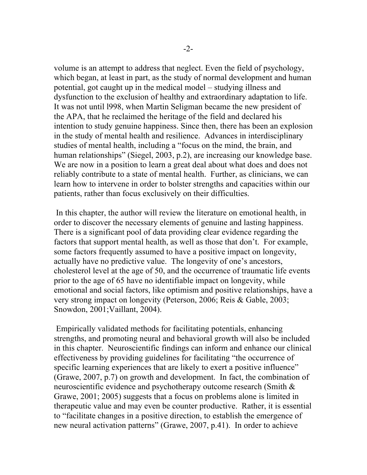volume is an attempt to address that neglect. Even the field of psychology, which began, at least in part, as the study of normal development and human potential, got caught up in the medical model – studying illness and dysfunction to the exclusion of healthy and extraordinary adaptation to life. It was not until l998, when Martin Seligman became the new president of the APA, that he reclaimed the heritage of the field and declared his intention to study genuine happiness. Since then, there has been an explosion in the study of mental health and resilience. Advances in interdisciplinary studies of mental health, including a "focus on the mind, the brain, and human relationships" (Siegel, 2003, p.2), are increasing our knowledge base. We are now in a position to learn a great deal about what does and does not reliably contribute to a state of mental health. Further, as clinicians, we can learn how to intervene in order to bolster strengths and capacities within our patients, rather than focus exclusively on their difficulties.

In this chapter, the author will review the literature on emotional health, in order to discover the necessary elements of genuine and lasting happiness. There is a significant pool of data providing clear evidence regarding the factors that support mental health, as well as those that don't. For example, some factors frequently assumed to have a positive impact on longevity, actually have no predictive value. The longevity of one's ancestors, cholesterol level at the age of 50, and the occurrence of traumatic life events prior to the age of 65 have no identifiable impact on longevity, while emotional and social factors, like optimism and positive relationships, have a very strong impact on longevity (Peterson, 2006; Reis & Gable, 2003; Snowdon, 2001;Vaillant, 2004).

Empirically validated methods for facilitating potentials, enhancing strengths, and promoting neural and behavioral growth will also be included in this chapter. Neuroscientific findings can inform and enhance our clinical effectiveness by providing guidelines for facilitating "the occurrence of specific learning experiences that are likely to exert a positive influence" (Grawe, 2007, p.7) on growth and development. In fact, the combination of neuroscientific evidence and psychotherapy outcome research (Smith & Grawe, 2001; 2005) suggests that a focus on problems alone is limited in therapeutic value and may even be counter productive. Rather, it is essential to "facilitate changes in a positive direction, to establish the emergence of new neural activation patterns" (Grawe, 2007, p.41). In order to achieve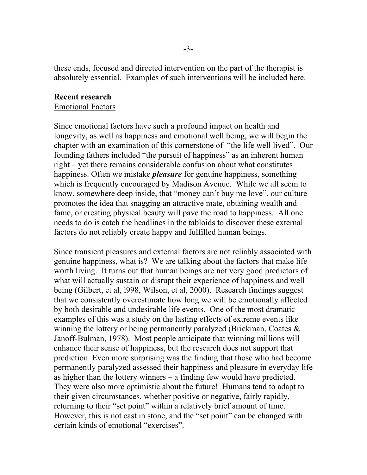these ends, focused and directed intervention on the part of the therapist is absolutely essential. Examples of such interventions will be included here.

### **Recent research**  Emotional Factors

Since emotional factors have such a profound impact on health and longevity, as well as happiness and emotional well being, we will begin the chapter with an examination of this cornerstone of "the life well lived". Our founding fathers included "the pursuit of happiness" as an inherent human right – yet there remains considerable confusion about what constitutes happiness. Often we mistake *pleasure* for genuine happiness, something which is frequently encouraged by Madison Avenue. While we all seem to know, somewhere deep inside, that "money can't buy me love", our culture promotes the idea that snagging an attractive mate, obtaining wealth and fame, or creating physical beauty will pave the road to happiness. All one needs to do is catch the headlines in the tabloids to discover these external factors do not reliably create happy and fulfilled human beings.

Since transient pleasures and external factors are not reliably associated with genuine happiness, what is? We are talking about the factors that make life worth living. It turns out that human beings are not very good predictors of what will actually sustain or disrupt their experience of happiness and well being (Gilbert, et al, l998, Wilson, et al, 2000). Research findings suggest that we consistently overestimate how long we will be emotionally affected by both desirable and undesirable life events. One of the most dramatic examples of this was a study on the lasting effects of extreme events like winning the lottery or being permanently paralyzed (Brickman, Coates  $\&$ Janoff-Bulman, 1978). Most people anticipate that winning millions will enhance their sense of happiness, but the research does not support that prediction. Even more surprising was the finding that those who had become permanently paralyzed assessed their happiness and pleasure in everyday life as higher than the lottery winners – a finding few would have predicted. They were also more optimistic about the future! Humans tend to adapt to their given circumstances, whether positive or negative, fairly rapidly, returning to their "set point" within a relatively brief amount of time. However, this is not cast in stone, and the "set point" can be changed with certain kinds of emotional "exercises".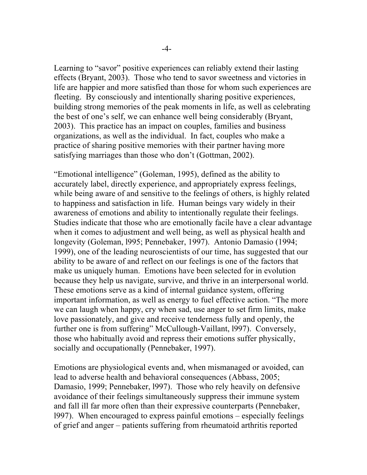Learning to "savor" positive experiences can reliably extend their lasting effects (Bryant, 2003). Those who tend to savor sweetness and victories in life are happier and more satisfied than those for whom such experiences are fleeting. By consciously and intentionally sharing positive experiences, building strong memories of the peak moments in life, as well as celebrating the best of one's self, we can enhance well being considerably (Bryant, 2003). This practice has an impact on couples, families and business organizations, as well as the individual. In fact, couples who make a practice of sharing positive memories with their partner having more satisfying marriages than those who don't (Gottman, 2002).

"Emotional intelligence" (Goleman, 1995), defined as the ability to accurately label, directly experience, and appropriately express feelings, while being aware of and sensitive to the feelings of others, is highly related to happiness and satisfaction in life. Human beings vary widely in their awareness of emotions and ability to intentionally regulate their feelings. Studies indicate that those who are emotionally facile have a clear advantage when it comes to adjustment and well being, as well as physical health and longevity (Goleman, l995; Pennebaker, 1997). Antonio Damasio (1994; 1999), one of the leading neuroscientists of our time, has suggested that our ability to be aware of and reflect on our feelings is one of the factors that make us uniquely human. Emotions have been selected for in evolution because they help us navigate, survive, and thrive in an interpersonal world. These emotions serve as a kind of internal guidance system, offering important information, as well as energy to fuel effective action. "The more we can laugh when happy, cry when sad, use anger to set firm limits, make love passionately, and give and receive tenderness fully and openly, the further one is from suffering" McCullough-Vaillant, 1997). Conversely, those who habitually avoid and repress their emotions suffer physically, socially and occupationally (Pennebaker, 1997).

Emotions are physiological events and, when mismanaged or avoided, can lead to adverse health and behavioral consequences (Abbass, 2005; Damasio, 1999; Pennebaker, l997). Those who rely heavily on defensive avoidance of their feelings simultaneously suppress their immune system and fall ill far more often than their expressive counterparts (Pennebaker, l997). When encouraged to express painful emotions – especially feelings of grief and anger – patients suffering from rheumatoid arthritis reported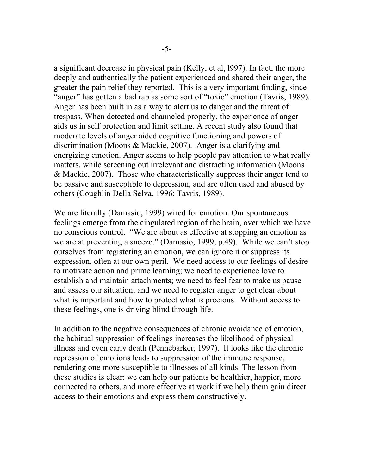a significant decrease in physical pain (Kelly, et al, l997). In fact, the more deeply and authentically the patient experienced and shared their anger, the greater the pain relief they reported. This is a very important finding, since "anger" has gotten a bad rap as some sort of "toxic" emotion (Tavris, 1989). Anger has been built in as a way to alert us to danger and the threat of trespass. When detected and channeled properly, the experience of anger aids us in self protection and limit setting. A recent study also found that moderate levels of anger aided cognitive functioning and powers of discrimination (Moons & Mackie, 2007). Anger is a clarifying and energizing emotion. Anger seems to help people pay attention to what really matters, while screening out irrelevant and distracting information (Moons & Mackie, 2007). Those who characteristically suppress their anger tend to be passive and susceptible to depression, and are often used and abused by others (Coughlin Della Selva, 1996; Tavris, 1989).

We are literally (Damasio, 1999) wired for emotion. Our spontaneous feelings emerge from the cingulated region of the brain, over which we have no conscious control. "We are about as effective at stopping an emotion as we are at preventing a sneeze." (Damasio, 1999, p.49). While we can't stop ourselves from registering an emotion, we can ignore it or suppress its expression, often at our own peril. We need access to our feelings of desire to motivate action and prime learning; we need to experience love to establish and maintain attachments; we need to feel fear to make us pause and assess our situation; and we need to register anger to get clear about what is important and how to protect what is precious. Without access to these feelings, one is driving blind through life.

In addition to the negative consequences of chronic avoidance of emotion, the habitual suppression of feelings increases the likelihood of physical illness and even early death (Pennebarker, 1997). It looks like the chronic repression of emotions leads to suppression of the immune response, rendering one more susceptible to illnesses of all kinds. The lesson from these studies is clear: we can help our patients be healthier, happier, more connected to others, and more effective at work if we help them gain direct access to their emotions and express them constructively.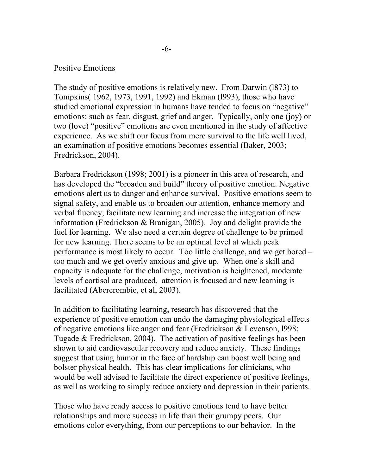### Positive Emotions

The study of positive emotions is relatively new. From Darwin (l873) to Tompkins( 1962, 1973, 1991, 1992) and Ekman (l993), those who have studied emotional expression in humans have tended to focus on "negative" emotions: such as fear, disgust, grief and anger. Typically, only one (joy) or two (love) "positive" emotions are even mentioned in the study of affective experience. As we shift our focus from mere survival to the life well lived, an examination of positive emotions becomes essential (Baker, 2003; Fredrickson, 2004).

Barbara Fredrickson (1998; 2001) is a pioneer in this area of research, and has developed the "broaden and build" theory of positive emotion. Negative emotions alert us to danger and enhance survival. Positive emotions seem to signal safety, and enable us to broaden our attention, enhance memory and verbal fluency, facilitate new learning and increase the integration of new information (Fredrickson & Branigan, 2005). Joy and delight provide the fuel for learning. We also need a certain degree of challenge to be primed for new learning. There seems to be an optimal level at which peak performance is most likely to occur. Too little challenge, and we get bored – too much and we get overly anxious and give up. When one's skill and capacity is adequate for the challenge, motivation is heightened, moderate levels of cortisol are produced, attention is focused and new learning is facilitated (Abercrombie, et al, 2003).

In addition to facilitating learning, research has discovered that the experience of positive emotion can undo the damaging physiological effects of negative emotions like anger and fear (Fredrickson & Levenson, l998; Tugade & Fredrickson, 2004). The activation of positive feelings has been shown to aid cardiovascular recovery and reduce anxiety. These findings suggest that using humor in the face of hardship can boost well being and bolster physical health. This has clear implications for clinicians, who would be well advised to facilitate the direct experience of positive feelings, as well as working to simply reduce anxiety and depression in their patients.

Those who have ready access to positive emotions tend to have better relationships and more success in life than their grumpy peers. Our emotions color everything, from our perceptions to our behavior. In the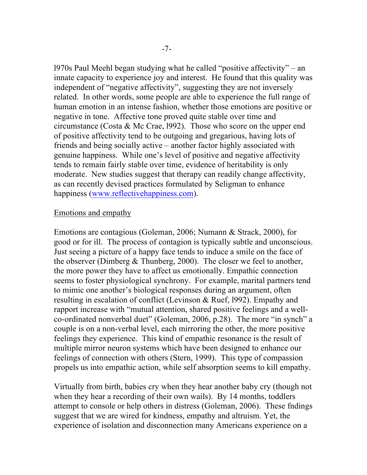l970s Paul Meehl began studying what he called "positive affectivity" – an innate capacity to experience joy and interest. He found that this quality was independent of "negative affectivity", suggesting they are not inversely related. In other words, some people are able to experience the full range of human emotion in an intense fashion, whether those emotions are positive or negative in tone. Affective tone proved quite stable over time and circumstance (Costa & Mc Crae, l992). Those who score on the upper end of positive affectivity tend to be outgoing and gregarious, having lots of friends and being socially active – another factor highly associated with genuine happiness. While one's level of positive and negative affectivity tends to remain fairly stable over time, evidence of heritability is only moderate. New studies suggest that therapy can readily change affectivity, as can recently devised practices formulated by Seligman to enhance happiness (www.reflectivehappiness.com).

# Emotions and empathy

Emotions are contagious (Goleman, 2006; Numann & Strack, 2000), for good or for ill. The process of contagion is typically subtle and unconscious. Just seeing a picture of a happy face tends to induce a smile on the face of the observer (Dimberg & Thunberg, 2000). The closer we feel to another, the more power they have to affect us emotionally. Empathic connection seems to foster physiological synchrony. For example, marital partners tend to mimic one another's biological responses during an argument, often resulting in escalation of conflict (Levinson & Ruef, l992). Empathy and rapport increase with "mutual attention, shared positive feelings and a wellco-ordinated nonverbal duet" (Goleman, 2006, p.28). The more "in synch" a couple is on a non-verbal level, each mirroring the other, the more positive feelings they experience. This kind of empathic resonance is the result of multiple mirror neuron systems which have been designed to enhance our feelings of connection with others (Stern, 1999). This type of compassion propels us into empathic action, while self absorption seems to kill empathy.

Virtually from birth, babies cry when they hear another baby cry (though not when they hear a recording of their own wails). By 14 months, toddlers attempt to console or help others in distress (Goleman, 2006). These fndings suggest that we are wired for kindness, empathy and altruism. Yet, the experience of isolation and disconnection many Americans experience on a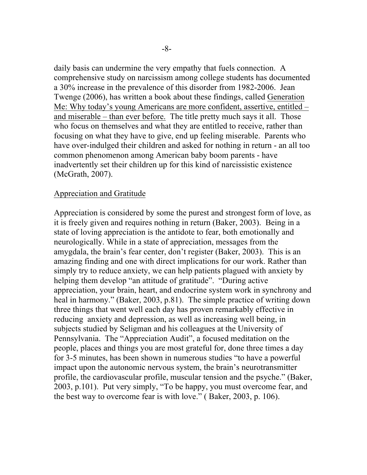daily basis can undermine the very empathy that fuels connection. A comprehensive study on narcissism among college students has documented a 30% increase in the prevalence of this disorder from 1982-2006. Jean Twenge (2006), has written a book about these findings, called Generation Me: Why today's young Americans are more confident, assertive, entitled – and miserable – than ever before. The title pretty much says it all. Those who focus on themselves and what they are entitled to receive, rather than focusing on what they have to give, end up feeling miserable. Parents who have over-indulged their children and asked for nothing in return - an all too common phenomenon among American baby boom parents - have inadvertently set their children up for this kind of narcissistic existence (McGrath, 2007).

# Appreciation and Gratitude

Appreciation is considered by some the purest and strongest form of love, as it is freely given and requires nothing in return (Baker, 2003). Being in a state of loving appreciation is the antidote to fear, both emotionally and neurologically. While in a state of appreciation, messages from the amygdala, the brain's fear center, don't register (Baker, 2003). This is an amazing finding and one with direct implications for our work. Rather than simply try to reduce anxiety, we can help patients plagued with anxiety by helping them develop "an attitude of gratitude". "During active appreciation, your brain, heart, and endocrine system work in synchrony and heal in harmony." (Baker, 2003, p.81). The simple practice of writing down three things that went well each day has proven remarkably effective in reducing anxiety and depression, as well as increasing well being, in subjects studied by Seligman and his colleagues at the University of Pennsylvania. The "Appreciation Audit", a focused meditation on the people, places and things you are most grateful for, done three times a day for 3-5 minutes, has been shown in numerous studies "to have a powerful impact upon the autonomic nervous system, the brain's neurotransmitter profile, the cardiovascular profile, muscular tension and the psyche." (Baker, 2003, p.101). Put very simply, "To be happy, you must overcome fear, and the best way to overcome fear is with love." ( Baker, 2003, p. 106).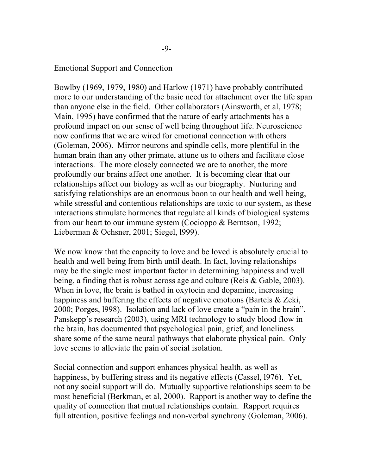#### Emotional Support and Connection

Bowlby (1969, 1979, 1980) and Harlow (1971) have probably contributed more to our understanding of the basic need for attachment over the life span than anyone else in the field. Other collaborators (Ainsworth, et al, 1978; Main, 1995) have confirmed that the nature of early attachments has a profound impact on our sense of well being throughout life. Neuroscience now confirms that we are wired for emotional connection with others (Goleman, 2006). Mirror neurons and spindle cells, more plentiful in the human brain than any other primate, attune us to others and facilitate close interactions. The more closely connected we are to another, the more profoundly our brains affect one another. It is becoming clear that our relationships affect our biology as well as our biography. Nurturing and satisfying relationships are an enormous boon to our health and well being, while stressful and contentious relationships are toxic to our system, as these interactions stimulate hormones that regulate all kinds of biological systems from our heart to our immune system (Cocioppo & Berntson, 1992; Lieberman & Ochsner, 2001; Siegel, l999).

We now know that the capacity to love and be loved is absolutely crucial to health and well being from birth until death. In fact, loving relationships may be the single most important factor in determining happiness and well being, a finding that is robust across age and culture (Reis & Gable, 2003). When in love, the brain is bathed in oxytocin and dopamine, increasing happiness and buffering the effects of negative emotions (Bartels & Zeki, 2000; Porges, l998). Isolation and lack of love create a "pain in the brain". Panskepp's research (2003), using MRI technology to study blood flow in the brain, has documented that psychological pain, grief, and loneliness share some of the same neural pathways that elaborate physical pain. Only love seems to alleviate the pain of social isolation.

Social connection and support enhances physical health, as well as happiness, by buffering stress and its negative effects (Cassel, l976). Yet, not any social support will do. Mutually supportive relationships seem to be most beneficial (Berkman, et al, 2000). Rapport is another way to define the quality of connection that mutual relationships contain. Rapport requires full attention, positive feelings and non-verbal synchrony (Goleman, 2006).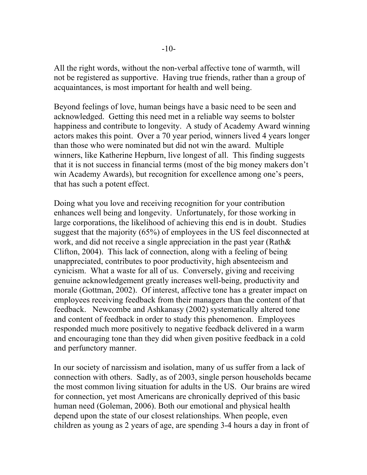All the right words, without the non-verbal affective tone of warmth, will not be registered as supportive. Having true friends, rather than a group of acquaintances, is most important for health and well being.

Beyond feelings of love, human beings have a basic need to be seen and acknowledged. Getting this need met in a reliable way seems to bolster happiness and contribute to longevity. A study of Academy Award winning actors makes this point. Over a 70 year period, winners lived 4 years longer than those who were nominated but did not win the award. Multiple winners, like Katherine Hepburn, live longest of all. This finding suggests that it is not success in financial terms (most of the big money makers don't win Academy Awards), but recognition for excellence among one's peers, that has such a potent effect.

Doing what you love and receiving recognition for your contribution enhances well being and longevity. Unfortunately, for those working in large corporations, the likelihood of achieving this end is in doubt. Studies suggest that the majority (65%) of employees in the US feel disconnected at work, and did not receive a single appreciation in the past year (Rath& Clifton, 2004). This lack of connection, along with a feeling of being unappreciated, contributes to poor productivity, high absenteeism and cynicism. What a waste for all of us. Conversely, giving and receiving genuine acknowledgement greatly increases well-being, productivity and morale (Gottman, 2002). Of interest, affective tone has a greater impact on employees receiving feedback from their managers than the content of that feedback. Newcombe and Ashkanasy (2002) systematically altered tone and content of feedback in order to study this phenomenon. Employees responded much more positively to negative feedback delivered in a warm and encouraging tone than they did when given positive feedback in a cold and perfunctory manner.

In our society of narcissism and isolation, many of us suffer from a lack of connection with others. Sadly, as of 2003, single person households became the most common living situation for adults in the US. Our brains are wired for connection, yet most Americans are chronically deprived of this basic human need (Goleman, 2006). Both our emotional and physical health depend upon the state of our closest relationships. When people, even children as young as 2 years of age, are spending 3-4 hours a day in front of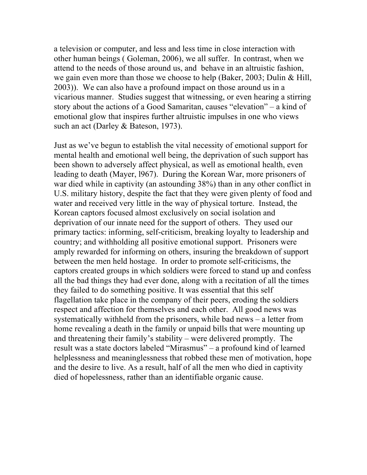a television or computer, and less and less time in close interaction with other human beings ( Goleman, 2006), we all suffer. In contrast, when we attend to the needs of those around us, and behave in an altruistic fashion, we gain even more than those we choose to help (Baker, 2003; Dulin & Hill, 2003)). We can also have a profound impact on those around us in a vicarious manner. Studies suggest that witnessing, or even hearing a stirring story about the actions of a Good Samaritan, causes "elevation" – a kind of emotional glow that inspires further altruistic impulses in one who views such an act (Darley & Bateson, 1973).

Just as we've begun to establish the vital necessity of emotional support for mental health and emotional well being, the deprivation of such support has been shown to adversely affect physical, as well as emotional health, even leading to death (Mayer, l967). During the Korean War, more prisoners of war died while in captivity (an astounding 38%) than in any other conflict in U.S. military history, despite the fact that they were given plenty of food and water and received very little in the way of physical torture. Instead, the Korean captors focused almost exclusively on social isolation and deprivation of our innate need for the support of others. They used our primary tactics: informing, self-criticism, breaking loyalty to leadership and country; and withholding all positive emotional support. Prisoners were amply rewarded for informing on others, insuring the breakdown of support between the men held hostage. In order to promote self-criticisms, the captors created groups in which soldiers were forced to stand up and confess all the bad things they had ever done, along with a recitation of all the times they failed to do something positive. It was essential that this self flagellation take place in the company of their peers, eroding the soldiers respect and affection for themselves and each other. All good news was systematically withheld from the prisoners, while bad news – a letter from home revealing a death in the family or unpaid bills that were mounting up and threatening their family's stability – were delivered promptly. The result was a state doctors labeled "Mirasmus" – a profound kind of learned helplessness and meaninglessness that robbed these men of motivation, hope and the desire to live. As a result, half of all the men who died in captivity died of hopelessness, rather than an identifiable organic cause.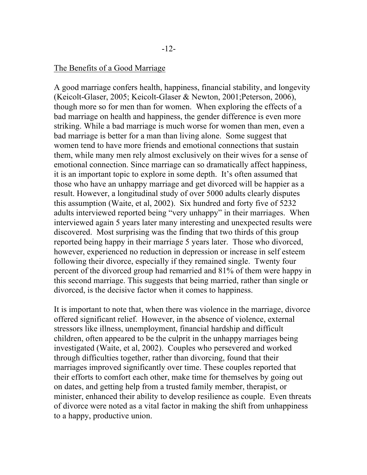#### The Benefits of a Good Marriage

A good marriage confers health, happiness, financial stability, and longevity (Keicolt-Glaser, 2005; Keicolt-Glaser & Newton, 2001;Peterson, 2006), though more so for men than for women. When exploring the effects of a bad marriage on health and happiness, the gender difference is even more striking. While a bad marriage is much worse for women than men, even a bad marriage is better for a man than living alone. Some suggest that women tend to have more friends and emotional connections that sustain them, while many men rely almost exclusively on their wives for a sense of emotional connection. Since marriage can so dramatically affect happiness, it is an important topic to explore in some depth. It's often assumed that those who have an unhappy marriage and get divorced will be happier as a result. However, a longitudinal study of over 5000 adults clearly disputes this assumption (Waite, et al, 2002). Six hundred and forty five of 5232 adults interviewed reported being "very unhappy" in their marriages. When interviewed again 5 years later many interesting and unexpected results were discovered. Most surprising was the finding that two thirds of this group reported being happy in their marriage 5 years later. Those who divorced, however, experienced no reduction in depression or increase in self esteem following their divorce, especially if they remained single. Twenty four percent of the divorced group had remarried and 81% of them were happy in this second marriage. This suggests that being married, rather than single or divorced, is the decisive factor when it comes to happiness.

It is important to note that, when there was violence in the marriage, divorce offered significant relief. However, in the absence of violence, external stressors like illness, unemployment, financial hardship and difficult children, often appeared to be the culprit in the unhappy marriages being investigated (Waite, et al, 2002). Couples who persevered and worked through difficulties together, rather than divorcing, found that their marriages improved significantly over time. These couples reported that their efforts to comfort each other, make time for themselves by going out on dates, and getting help from a trusted family member, therapist, or minister, enhanced their ability to develop resilience as couple. Even threats of divorce were noted as a vital factor in making the shift from unhappiness to a happy, productive union.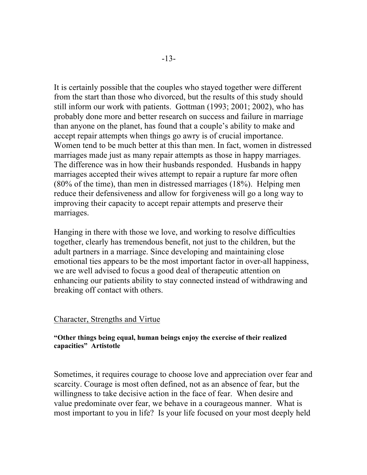It is certainly possible that the couples who stayed together were different from the start than those who divorced, but the results of this study should still inform our work with patients. Gottman (1993; 2001; 2002), who has probably done more and better research on success and failure in marriage than anyone on the planet, has found that a couple's ability to make and accept repair attempts when things go awry is of crucial importance. Women tend to be much better at this than men. In fact, women in distressed marriages made just as many repair attempts as those in happy marriages. The difference was in how their husbands responded. Husbands in happy marriages accepted their wives attempt to repair a rupture far more often (80% of the time), than men in distressed marriages (18%). Helping men reduce their defensiveness and allow for forgiveness will go a long way to improving their capacity to accept repair attempts and preserve their marriages.

Hanging in there with those we love, and working to resolve difficulties together, clearly has tremendous benefit, not just to the children, but the adult partners in a marriage. Since developing and maintaining close emotional ties appears to be the most important factor in over-all happiness, we are well advised to focus a good deal of therapeutic attention on enhancing our patients ability to stay connected instead of withdrawing and breaking off contact with others.

# Character, Strengths and Virtue

### **"Other things being equal, human beings enjoy the exercise of their realized capacities" Artistotle**

Sometimes, it requires courage to choose love and appreciation over fear and scarcity. Courage is most often defined, not as an absence of fear, but the willingness to take decisive action in the face of fear. When desire and value predominate over fear, we behave in a courageous manner. What is most important to you in life? Is your life focused on your most deeply held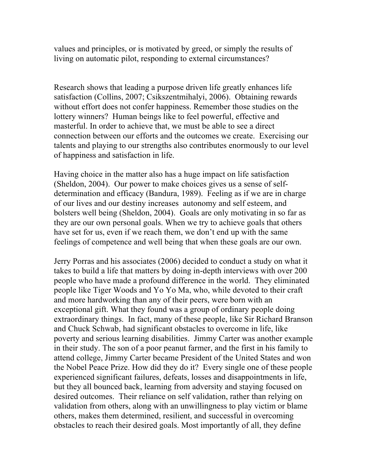values and principles, or is motivated by greed, or simply the results of living on automatic pilot, responding to external circumstances?

Research shows that leading a purpose driven life greatly enhances life satisfaction (Collins, 2007; Csikszentmihalyi, 2006). Obtaining rewards without effort does not confer happiness. Remember those studies on the lottery winners? Human beings like to feel powerful, effective and masterful. In order to achieve that, we must be able to see a direct connection between our efforts and the outcomes we create. Exercising our talents and playing to our strengths also contributes enormously to our level of happiness and satisfaction in life.

Having choice in the matter also has a huge impact on life satisfaction (Sheldon, 2004). Our power to make choices gives us a sense of selfdetermination and efficacy (Bandura, 1989). Feeling as if we are in charge of our lives and our destiny increases autonomy and self esteem, and bolsters well being (Sheldon, 2004). Goals are only motivating in so far as they are our own personal goals. When we try to achieve goals that others have set for us, even if we reach them, we don't end up with the same feelings of competence and well being that when these goals are our own.

Jerry Porras and his associates (2006) decided to conduct a study on what it takes to build a life that matters by doing in-depth interviews with over 200 people who have made a profound difference in the world. They eliminated people like Tiger Woods and Yo Yo Ma, who, while devoted to their craft and more hardworking than any of their peers, were born with an exceptional gift. What they found was a group of ordinary people doing extraordinary things. In fact, many of these people, like Sir Richard Branson and Chuck Schwab, had significant obstacles to overcome in life, like poverty and serious learning disabilities. Jimmy Carter was another example in their study. The son of a poor peanut farmer, and the first in his family to attend college, Jimmy Carter became President of the United States and won the Nobel Peace Prize. How did they do it? Every single one of these people experienced significant failures, defeats, losses and disappointments in life, but they all bounced back, learning from adversity and staying focused on desired outcomes. Their reliance on self validation, rather than relying on validation from others, along with an unwillingness to play victim or blame others, makes them determined, resilient, and successful in overcoming obstacles to reach their desired goals. Most importantly of all, they define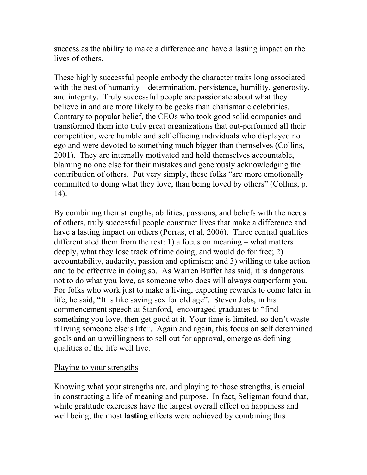success as the ability to make a difference and have a lasting impact on the lives of others.

These highly successful people embody the character traits long associated with the best of humanity – determination, persistence, humility, generosity, and integrity. Truly successful people are passionate about what they believe in and are more likely to be geeks than charismatic celebrities. Contrary to popular belief, the CEOs who took good solid companies and transformed them into truly great organizations that out-performed all their competition, were humble and self effacing individuals who displayed no ego and were devoted to something much bigger than themselves (Collins, 2001). They are internally motivated and hold themselves accountable, blaming no one else for their mistakes and generously acknowledging the contribution of others. Put very simply, these folks "are more emotionally committed to doing what they love, than being loved by others" (Collins, p. 14).

By combining their strengths, abilities, passions, and beliefs with the needs of others, truly successful people construct lives that make a difference and have a lasting impact on others (Porras, et al, 2006). Three central qualities differentiated them from the rest: 1) a focus on meaning – what matters deeply, what they lose track of time doing, and would do for free; 2) accountability, audacity, passion and optimism; and 3) willing to take action and to be effective in doing so. As Warren Buffet has said, it is dangerous not to do what you love, as someone who does will always outperform you. For folks who work just to make a living, expecting rewards to come later in life, he said, "It is like saving sex for old age". Steven Jobs, in his commencement speech at Stanford, encouraged graduates to "find something you love, then get good at it. Your time is limited, so don't waste it living someone else's life". Again and again, this focus on self determined goals and an unwillingness to sell out for approval, emerge as defining qualities of the life well live.

# Playing to your strengths

Knowing what your strengths are, and playing to those strengths, is crucial in constructing a life of meaning and purpose. In fact, Seligman found that, while gratitude exercises have the largest overall effect on happiness and well being, the most **lasting** effects were achieved by combining this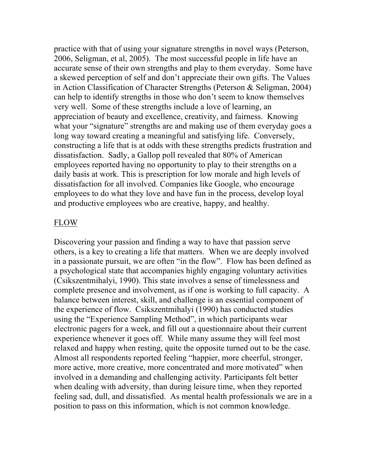practice with that of using your signature strengths in novel ways (Peterson, 2006, Seligman, et al, 2005). The most successful people in life have an accurate sense of their own strengths and play to them everyday. Some have a skewed perception of self and don't appreciate their own gifts. The Values in Action Classification of Character Strengths (Peterson & Seligman, 2004) can help to identify strengths in those who don't seem to know themselves very well. Some of these strengths include a love of learning, an appreciation of beauty and excellence, creativity, and fairness. Knowing what your "signature" strengths are and making use of them everyday goes a long way toward creating a meaningful and satisfying life. Conversely, constructing a life that is at odds with these strengths predicts frustration and dissatisfaction. Sadly, a Gallop poll revealed that 80% of American employees reported having no opportunity to play to their strengths on a daily basis at work. This is prescription for low morale and high levels of dissatisfaction for all involved. Companies like Google, who encourage employees to do what they love and have fun in the process, develop loyal and productive employees who are creative, happy, and healthy.

#### FLOW

Discovering your passion and finding a way to have that passion serve others, is a key to creating a life that matters. When we are deeply involved in a passionate pursuit, we are often "in the flow". Flow has been defined as a psychological state that accompanies highly engaging voluntary activities (Csikszentmihalyi, 1990). This state involves a sense of timelessness and complete presence and involvement, as if one is working to full capacity. A balance between interest, skill, and challenge is an essential component of the experience of flow. Csikszentmihalyi (1990) has conducted studies using the "Experience Sampling Method", in which participants wear electronic pagers for a week, and fill out a questionnaire about their current experience whenever it goes off. While many assume they will feel most relaxed and happy when resting, quite the opposite turned out to be the case. Almost all respondents reported feeling "happier, more cheerful, stronger, more active, more creative, more concentrated and more motivated" when involved in a demanding and challenging activity. Participants felt better when dealing with adversity, than during leisure time, when they reported feeling sad, dull, and dissatisfied. As mental health professionals we are in a position to pass on this information, which is not common knowledge.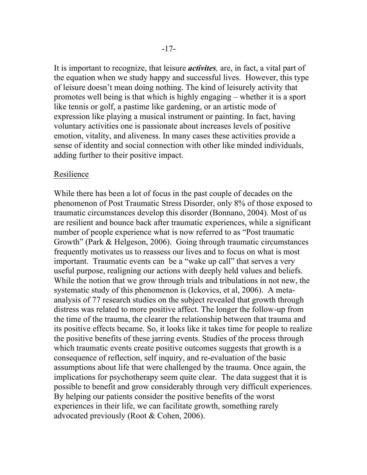It is important to recognize, that leisure *activites,* are, in fact, a vital part of the equation when we study happy and successful lives. However, this type of leisure doesn't mean doing nothing. The kind of leisurely activity that promotes well being is that which is highly engaging – whether it is a sport like tennis or golf, a pastime like gardening, or an artistic mode of expression like playing a musical instrument or painting. In fact, having voluntary activities one is passionate about increases levels of positive emotion, vitality, and aliveness. In many cases these activities provide a sense of identity and social connection with other like minded individuals, adding further to their positive impact.

#### Resilience

While there has been a lot of focus in the past couple of decades on the phenomenon of Post Traumatic Stress Disorder, only 8% of those exposed to traumatic circumstances develop this disorder (Bonnano, 2004). Most of us are resilient and bounce back after traumatic experiences, while a significant number of people experience what is now referred to as "Post traumatic Growth" (Park & Helgeson, 2006). Going through traumatic circumstances frequently motivates us to reassess our lives and to focus on what is most important. Traumatic events can be a "wake up call" that serves a very useful purpose, realigning our actions with deeply held values and beliefs. While the notion that we grow through trials and tribulations in not new, the systematic study of this phenomenon is (Ickovics, et al, 2006). A metaanalysis of 77 research studies on the subject revealed that growth through distress was related to more positive affect. The longer the follow-up from the time of the trauma, the clearer the relationship between that trauma and its positive effects became. So, it looks like it takes time for people to realize the positive benefits of these jarring events. Studies of the process through which traumatic events create positive outcomes suggests that growth is a consequence of reflection, self inquiry, and re-evaluation of the basic assumptions about life that were challenged by the trauma. Once again, the implications for psychotherapy seem quite clear. The data suggest that it is possible to benefit and grow considerably through very difficult experiences. By helping our patients consider the positive benefits of the worst experiences in their life, we can facilitate growth, something rarely advocated previously (Root & Cohen, 2006).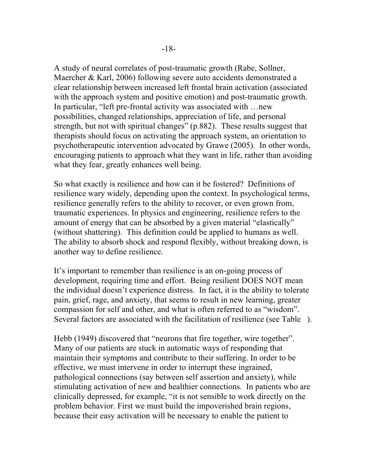-18-

A study of neural correlates of post-traumatic growth (Rabe, Sollner, Maercher & Karl, 2006) following severe auto accidents demonstrated a clear relationship between increased left frontal brain activation (associated with the approach system and positive emotion) and post-traumatic growth. In particular, "left pre-frontal activity was associated with …new possibilities, changed relationships, appreciation of life, and personal strength, but not with spiritual changes" (p.882). These results suggest that therapists should focus on activating the approach system, an orientation to psychotherapeutic intervention advocated by Grawe (2005). In other words, encouraging patients to approach what they want in life, rather than avoiding what they fear, greatly enhances well being.

So what exactly is resilience and how can it be fostered? Definitions of resilience wary widely, depending upon the context. In psychological terms, resilience generally refers to the ability to recover, or even grown from, traumatic experiences. In physics and engineering, resilience refers to the amount of energy that can be absorbed by a given material "elastically" (without shattering). This definition could be applied to humans as well. The ability to absorb shock and respond flexibly, without breaking down, is another way to define resilience.

It's important to remember than resilience is an on-going process of development, requiring time and effort. Being resilient DOES NOT mean the individual doesn't experience distress. In fact, it is the ability to tolerate pain, grief, rage, and anxiety, that seems to result in new learning, greater compassion for self and other, and what is often referred to as "wisdom". Several factors are associated with the facilitation of resilience (see Table ).

Hebb (1949) discovered that "neurons that fire together, wire together". Many of our patients are stuck in automatic ways of responding that maintain their symptoms and contribute to their suffering. In order to be effective, we must intervene in order to interrupt these ingrained, pathological connections (say between self assertion and anxiety), while stimulating activation of new and healthier connections. In patients who are clinically depressed, for example, "it is not sensible to work directly on the problem behavior. First we must build the impoverished brain regions, because their easy activation will be necessary to enable the patient to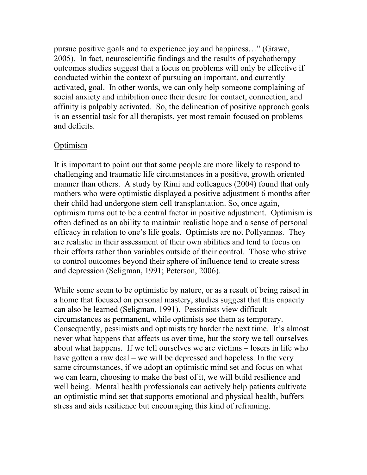pursue positive goals and to experience joy and happiness…" (Grawe, 2005). In fact, neuroscientific findings and the results of psychotherapy outcomes studies suggest that a focus on problems will only be effective if conducted within the context of pursuing an important, and currently activated, goal. In other words, we can only help someone complaining of social anxiety and inhibition once their desire for contact, connection, and affinity is palpably activated. So, the delineation of positive approach goals is an essential task for all therapists, yet most remain focused on problems and deficits.

# Optimism

It is important to point out that some people are more likely to respond to challenging and traumatic life circumstances in a positive, growth oriented manner than others. A study by Rimi and colleagues (2004) found that only mothers who were optimistic displayed a positive adjustment 6 months after their child had undergone stem cell transplantation. So, once again, optimism turns out to be a central factor in positive adjustment. Optimism is often defined as an ability to maintain realistic hope and a sense of personal efficacy in relation to one's life goals. Optimists are not Pollyannas. They are realistic in their assessment of their own abilities and tend to focus on their efforts rather than variables outside of their control. Those who strive to control outcomes beyond their sphere of influence tend to create stress and depression (Seligman, 1991; Peterson, 2006).

While some seem to be optimistic by nature, or as a result of being raised in a home that focused on personal mastery, studies suggest that this capacity can also be learned (Seligman, 1991). Pessimists view difficult circumstances as permanent, while optimists see them as temporary. Consequently, pessimists and optimists try harder the next time. It's almost never what happens that affects us over time, but the story we tell ourselves about what happens. If we tell ourselves we are victims – losers in life who have gotten a raw deal – we will be depressed and hopeless. In the very same circumstances, if we adopt an optimistic mind set and focus on what we can learn, choosing to make the best of it, we will build resilience and well being. Mental health professionals can actively help patients cultivate an optimistic mind set that supports emotional and physical health, buffers stress and aids resilience but encouraging this kind of reframing.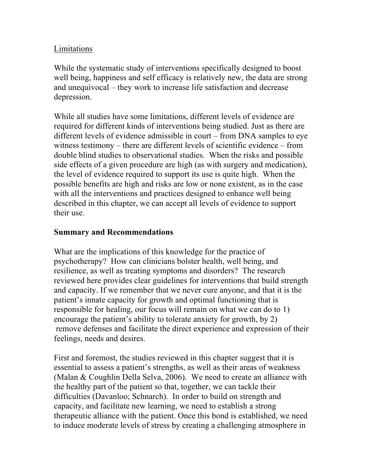# Limitations

While the systematic study of interventions specifically designed to boost well being, happiness and self efficacy is relatively new, the data are strong and unequivocal – they work to increase life satisfaction and decrease depression.

While all studies have some limitations, different levels of evidence are required for different kinds of interventions being studied. Just as there are different levels of evidence admissible in court – from DNA samples to eye witness testimony – there are different levels of scientific evidence – from double blind studies to observational studies. When the risks and possible side effects of a given procedure are high (as with surgery and medication), the level of evidence required to support its use is quite high. When the possible benefits are high and risks are low or none existent, as in the case with all the interventions and practices designed to enhance well being described in this chapter, we can accept all levels of evidence to support their use.

# **Summary and Recommendations**

What are the implications of this knowledge for the practice of psychotherapy? How can clinicians bolster health, well being, and resilience, as well as treating symptoms and disorders? The research reviewed here provides clear guidelines for interventions that build strength and capacity. If we remember that we never cure anyone, and that it is the patient's innate capacity for growth and optimal functioning that is responsible for healing, our focus will remain on what we can do to 1) encourage the patient's ability to tolerate anxiety for growth, by 2) remove defenses and facilitate the direct experience and expression of their feelings, needs and desires.

First and foremost, the studies reviewed in this chapter suggest that it is essential to assess a patient's strengths, as well as their areas of weakness (Malan & Coughlin Della Selva, 2006). We need to create an alliance with the healthy part of the patient so that, together, we can tackle their difficulties (Davanloo; Schnarch). In order to build on strength and capacity, and facilitate new learning, we need to establish a strong therapeutic alliance with the patient. Once this bond is established, we need to induce moderate levels of stress by creating a challenging atmosphere in